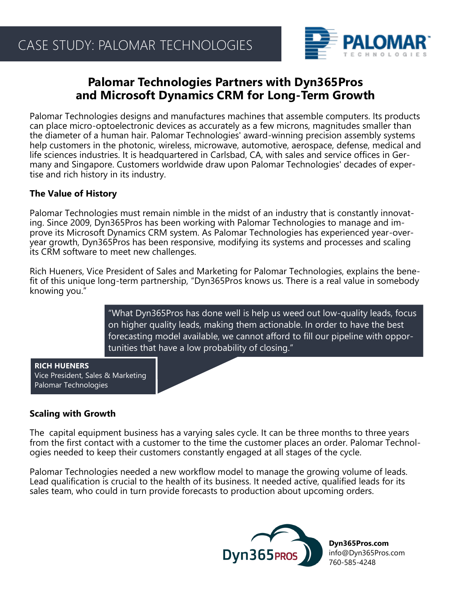

# **Palomar Technologies Partners with Dyn365Pros and Microsoft Dynamics CRM for Long-Term Growth**

Palomar Technologies designs and manufactures machines that assemble computers. Its products can place micro-optoelectronic devices as accurately as a few microns, magnitudes smaller than the diameter of a human hair. Palomar Technologies' award-winning precision assembly systems help customers in the photonic, wireless, microwave, automotive, aerospace, defense, medical and life sciences industries. It is headquartered in Carlsbad, CA, with sales and service offices in Germany and Singapore. Customers worldwide draw upon Palomar Technologies' decades of expertise and rich history in its industry.

### **The Value of History**

Palomar Technologies must remain nimble in the midst of an industry that is constantly innovating. Since 2009, Dyn365Pros has been working with Palomar Technologies to manage and improve its Microsoft Dynamics CRM system. As Palomar Technologies has experienced year-overyear growth, Dyn365Pros has been responsive, modifying its systems and processes and scaling its CRM software to meet new challenges.

Rich Hueners, Vice President of Sales and Marketing for Palomar Technologies, explains the benefit of this unique long-term partnership, "Dyn365Pros knows us. There is a real value in somebody knowing you."

> "What Dyn365Pros has done well is help us weed out low-quality leads, focus on higher quality leads, making them actionable. In order to have the best forecasting model available, we cannot afford to fill our pipeline with opportunities that have a low probability of closing."

**RICH HUENERS** Vice President, Sales & Marketing Palomar Technologies

### **Scaling with Growth**

The capital equipment business has a varying sales cycle. It can be three months to three years from the first contact with a customer to the time the customer places an order. Palomar Technologies needed to keep their customers constantly engaged at all stages of the cycle.

Palomar Technologies needed a new workflow model to manage the growing volume of leads. Lead qualification is crucial to the health of its business. It needed active, qualified leads for its sales team, who could in turn provide forecasts to production about upcoming orders.



**Dyn365Pros.com** info@Dyn365Pros.com 760-585-4248